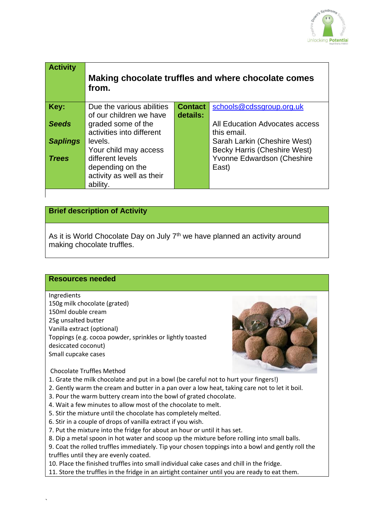

| <b>Activity</b> | Making chocolate truffles and where chocolate comes<br>from. |                |                                     |
|-----------------|--------------------------------------------------------------|----------------|-------------------------------------|
| Key:            | Due the various abilities                                    | <b>Contact</b> | schools@cdssgroup.org.uk            |
|                 | of our children we have                                      | details:       |                                     |
| <b>Seeds</b>    | graded some of the                                           |                | All Education Advocates access      |
|                 | activities into different                                    |                | this email.                         |
| <b>Saplings</b> | levels.                                                      |                | Sarah Larkin (Cheshire West)        |
|                 | Your child may access                                        |                | <b>Becky Harris (Cheshire West)</b> |
| <b>Trees</b>    | different levels                                             |                | Yvonne Edwardson (Cheshire          |
|                 | depending on the                                             |                | East)                               |
|                 | activity as well as their                                    |                |                                     |
|                 | ability.                                                     |                |                                     |
|                 |                                                              |                |                                     |

# **Brief description of Activity**

As it is World Chocolate Day on July  $7<sup>th</sup>$  we have planned an activity around making chocolate truffles.

### **Resources needed**

#### Ingredients

150g milk chocolate (grated) 150ml double cream 25g unsalted butter Vanilla extract (optional) Toppings (e.g. cocoa powder, sprinkles or lightly toasted desiccated coconut) Small cupcake cases



### Chocolate Truffles Method

1. Grate the milk chocolate and put in a bowl (be careful not to hurt your fingers!)

- 2. Gently warm the cream and butter in a pan over a low heat, taking care not to let it boil.
- 3. Pour the warm buttery cream into the bowl of grated chocolate.
- 4. Wait a few minutes to allow most of the chocolate to melt.
- 5. Stir the mixture until the chocolate has completely melted.
- 6. Stir in a couple of drops of vanilla extract if you wish.
- 7. Put the mixture into the fridge for about an hour or until it has set.
- 8. Dip a metal spoon in hot water and scoop up the mixture before rolling into small balls.

9. Coat the rolled truffles immediately. Tip your chosen toppings into a bowl and gently roll the truffles until they are evenly coated.

10. Place the finished truffles into small individual cake cases and chill in the fridge.

11. Store the truffles in the fridge in an airtight container until you are ready to eat them.